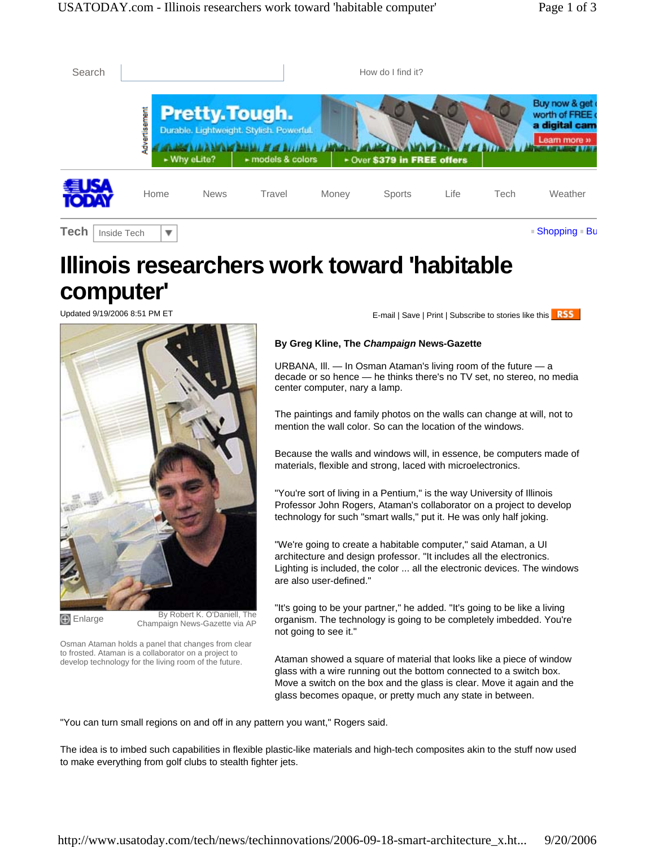| Search                     | How do I find it?       |                                       |                                                                     |       |                             |      |      |                                                                 |
|----------------------------|-------------------------|---------------------------------------|---------------------------------------------------------------------|-------|-----------------------------|------|------|-----------------------------------------------------------------|
|                            | vertisement<br>3        | <b>Pretty. Tough.</b><br>- Why eLite? | Durable. Lightweight. Stylish. Powerful.<br>$\succ$ models & colors |       | + Over \$379 in FREE offers |      |      | Buy now & get<br>worth of FREE<br>a digital cam<br>Learn more » |
|                            | Home                    | <b>News</b>                           | Travel                                                              | Money | <b>Sports</b>               | Life | Tech | Weather                                                         |
| <b>Tech</b><br>Inside Tech | $\overline{\mathbf{v}}$ |                                       |                                                                     |       |                             |      |      | ■ Shopping ■ Bu                                                 |

## **Illinois researchers work toward 'habitable computer'**



Enlarge By Robert K. O'Daniell, The Champaign News-Gazette via AP

Osman Ataman holds a panel that changes from clear to frosted. Ataman is a collaborator on a project to develop technology for the living room of the future.

Updated 9/19/2006 8:51 PM ET **E-mail | Save | Print | Subscribe to stories like this RSS** 

## **By Greg Kline, The** *Champaign* **News-Gazette**

URBANA, Ill. — In Osman Ataman's living room of the future — a decade or so hence — he thinks there's no TV set, no stereo, no media center computer, nary a lamp.

The paintings and family photos on the walls can change at will, not to mention the wall color. So can the location of the windows.

Because the walls and windows will, in essence, be computers made of materials, flexible and strong, laced with microelectronics.

"You're sort of living in a Pentium," is the way University of Illinois Professor John Rogers, Ataman's collaborator on a project to develop technology for such "smart walls," put it. He was only half joking.

"We're going to create a habitable computer," said Ataman, a UI architecture and design professor. "It includes all the electronics. Lighting is included, the color ... all the electronic devices. The windows are also user-defined."

"It's going to be your partner," he added. "It's going to be like a living organism. The technology is going to be completely imbedded. You're not going to see it."

Ataman showed a square of material that looks like a piece of window glass with a wire running out the bottom connected to a switch box. Move a switch on the box and the glass is clear. Move it again and the glass becomes opaque, or pretty much any state in between.

"You can turn small regions on and off in any pattern you want," Rogers said.

The idea is to imbed such capabilities in flexible plastic-like materials and high-tech composites akin to the stuff now used to make everything from golf clubs to stealth fighter jets.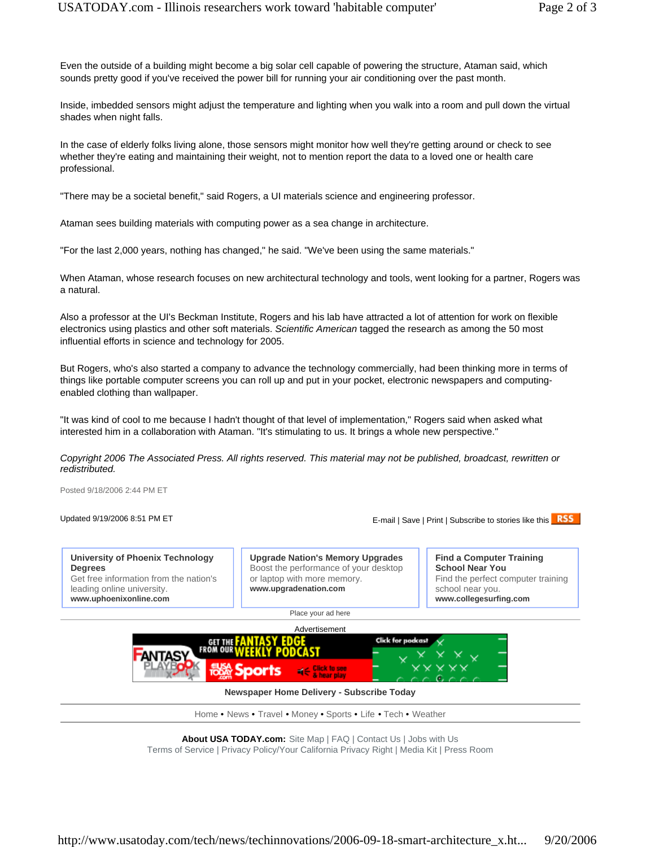Even the outside of a building might become a big solar cell capable of powering the structure, Ataman said, which sounds pretty good if you've received the power bill for running your air conditioning over the past month.

Inside, imbedded sensors might adjust the temperature and lighting when you walk into a room and pull down the virtual shades when night falls.

In the case of elderly folks living alone, those sensors might monitor how well they're getting around or check to see whether they're eating and maintaining their weight, not to mention report the data to a loved one or health care professional.

"There may be a societal benefit," said Rogers, a UI materials science and engineering professor.

Ataman sees building materials with computing power as a sea change in architecture.

"For the last 2,000 years, nothing has changed," he said. "We've been using the same materials."

When Ataman, whose research focuses on new architectural technology and tools, went looking for a partner, Rogers was a natural.

Also a professor at the UI's Beckman Institute, Rogers and his lab have attracted a lot of attention for work on flexible electronics using plastics and other soft materials. *Scientific American* tagged the research as among the 50 most influential efforts in science and technology for 2005.

But Rogers, who's also started a company to advance the technology commercially, had been thinking more in terms of things like portable computer screens you can roll up and put in your pocket, electronic newspapers and computingenabled clothing than wallpaper.

"It was kind of cool to me because I hadn't thought of that level of implementation," Rogers said when asked what interested him in a collaboration with Ataman. "It's stimulating to us. It brings a whole new perspective."

*Copyright 2006 The Associated Press. All rights reserved. This material may not be published, broadcast, rewritten or redistributed.* 

Posted 9/18/2006 2:44 PM ET

Updated 9/19/2006 8:51 PM ET **E-mail | Save | Print | Subscribe to stories like this RSS** 

**University of Phoenix Technology Degrees** Get free information from the nation's leading online university. **www.uphoenixonline.com**

**Upgrade Nation's Memory Upgrades** Boost the performance of your desktop or laptop with more memory. **www.upgradenation.com**

**Find a Computer Training School Near You** Find the perfect computer training school near you. **www.collegesurfing.com**

Place your ad here



## **Newspaper Home Delivery - Subscribe Today**

Home • News • Travel • Money • Sports • Life • Tech • Weather

**About USA TODAY.com:** Site Map | FAQ | Contact Us | Jobs with Us Terms of Service | Privacy Policy/Your California Privacy Right | Media Kit | Press Room